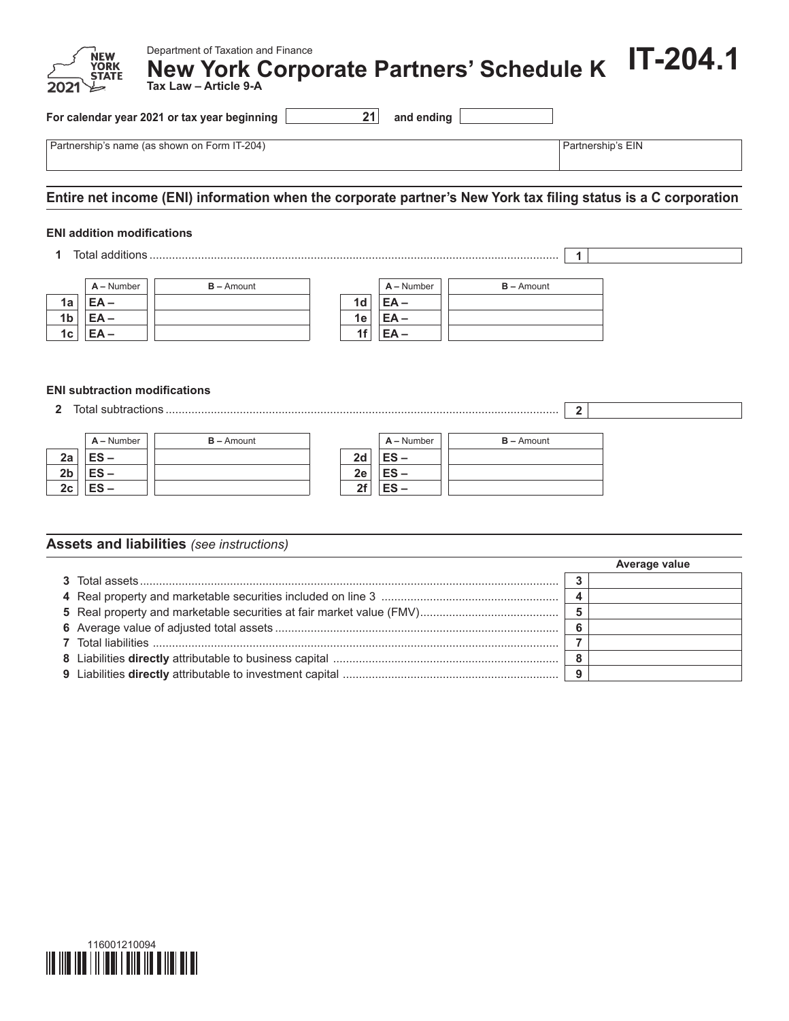| Department of Taxation and Finance<br>New Department of Taxation and Finance<br>2021 STATE New York Corporate Partners' Schedule K 17-204.1 |  |
|---------------------------------------------------------------------------------------------------------------------------------------------|--|
|---------------------------------------------------------------------------------------------------------------------------------------------|--|

**For calendar year 2021 or tax year beginning 21 and ending**

Partnership's name (as shown on Form IT-204) **Partnership's EIN** Partnership's EIN

# **Entire net income (ENI) information when the corporate partner's New York tax filing status is a C corporation**

#### **ENI addition modifications**

**1** Total additions ............................................................................................................................... **1**



### **ENI subtraction modifications**

**2** Total subtractions .......................................................................................................................... **2**

|                | $A -$ Number | $B -$ Amount |    | $A -$ Number | $B -$ Amount |
|----------------|--------------|--------------|----|--------------|--------------|
| 2a             | $ES -$       |              | 2d | $ES -$       |              |
| 2 <sub>b</sub> | $ES -$       |              | 2e | $ES -$       |              |
| 2c             | $ES -$       |              | ንf | ES –         |              |

### **Assets and liabilities** *(see instructions)*

|  | Average value |
|--|---------------|
|  |               |
|  |               |
|  |               |
|  |               |
|  |               |
|  |               |
|  |               |

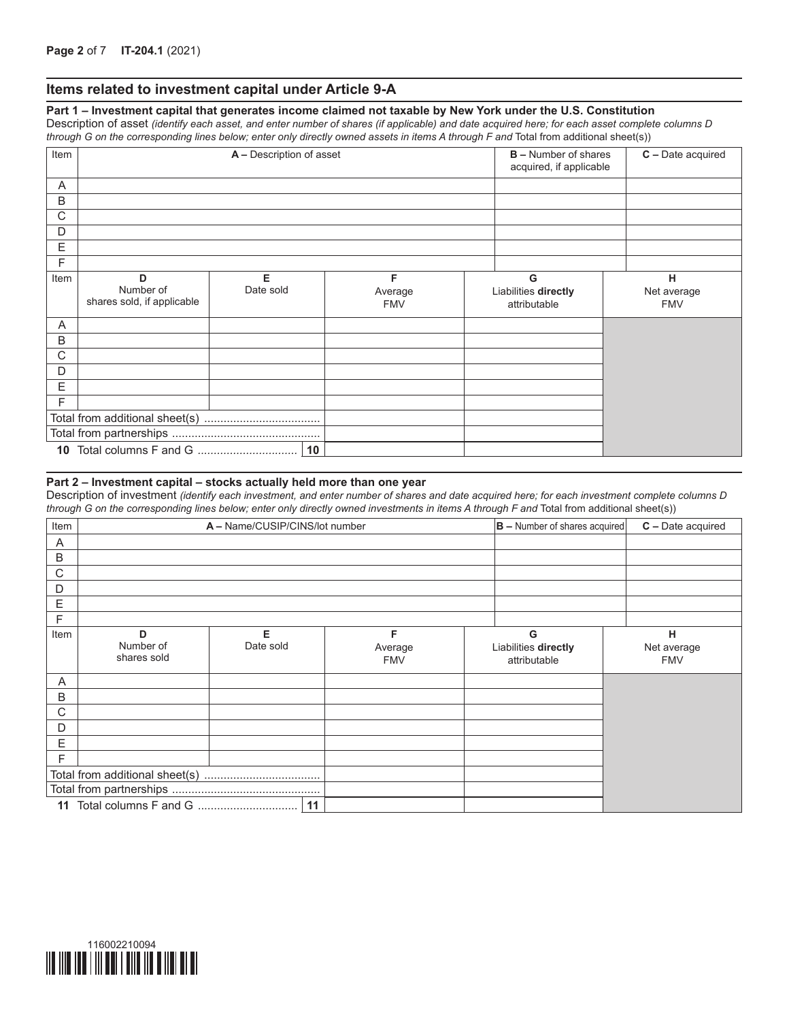### **Items related to investment capital under Article 9-A**

**Part 1 – Investment capital that generates income claimed not taxable by New York under the U.S. Constitution** Description of asset *(identify each asset, and enter number of shares (if applicable) and date acquired here; for each asset complete columns D through G on the corresponding lines below; enter only directly owned assets in items A through F and* Total from additional sheet(s))

| Item         |                                              | A - Description of asset |                            | <b>B</b> – Number of shares<br>acquired, if applicable | C - Date acquired                         |                                |
|--------------|----------------------------------------------|--------------------------|----------------------------|--------------------------------------------------------|-------------------------------------------|--------------------------------|
| Α            |                                              |                          |                            |                                                        |                                           |                                |
| B            |                                              |                          |                            |                                                        |                                           |                                |
| $\mathsf{C}$ |                                              |                          |                            |                                                        |                                           |                                |
| D            |                                              |                          |                            |                                                        |                                           |                                |
| E            |                                              |                          |                            |                                                        |                                           |                                |
| F            |                                              |                          |                            |                                                        |                                           |                                |
| Item         | D<br>Number of<br>shares sold, if applicable | Е<br>Date sold           | F<br>Average<br><b>FMV</b> |                                                        | G<br>Liabilities directly<br>attributable | н<br>Net average<br><b>FMV</b> |
| A            |                                              |                          |                            |                                                        |                                           |                                |
| B            |                                              |                          |                            |                                                        |                                           |                                |
| C            |                                              |                          |                            |                                                        |                                           |                                |
| D            |                                              |                          |                            |                                                        |                                           |                                |
| Е            |                                              |                          |                            |                                                        |                                           |                                |
| F            |                                              |                          |                            |                                                        |                                           |                                |
|              |                                              |                          |                            |                                                        |                                           |                                |
|              |                                              |                          |                            |                                                        |                                           |                                |
|              |                                              | 10                       |                            |                                                        |                                           |                                |

#### **Part 2 – Investment capital – stocks actually held more than one year**

Description of investment *(identify each investment, and enter number of shares and date acquired here; for each investment complete columns D through G on the corresponding lines below; enter only directly owned investments in items A through F and* Total from additional sheet(s))

| Item |                               | A - Name/CUSIP/CINS/lot number |                            | $ B -$ Number of shares acquired          | $C -$ Date acquired            |
|------|-------------------------------|--------------------------------|----------------------------|-------------------------------------------|--------------------------------|
| Α    |                               |                                |                            |                                           |                                |
| B    |                               |                                |                            |                                           |                                |
| C    |                               |                                |                            |                                           |                                |
| D    |                               |                                |                            |                                           |                                |
| E    |                               |                                |                            |                                           |                                |
| F    |                               |                                |                            |                                           |                                |
| Item | D<br>Number of<br>shares sold | Е<br>Date sold                 | F<br>Average<br><b>FMV</b> | G<br>Liabilities directly<br>attributable | н<br>Net average<br><b>FMV</b> |
| Α    |                               |                                |                            |                                           |                                |
| B    |                               |                                |                            |                                           |                                |
| C    |                               |                                |                            |                                           |                                |
| D    |                               |                                |                            |                                           |                                |
| E    |                               |                                |                            |                                           |                                |
| F    |                               |                                |                            |                                           |                                |
|      |                               |                                |                            |                                           |                                |
|      |                               |                                |                            |                                           |                                |
|      |                               | 11                             |                            |                                           |                                |

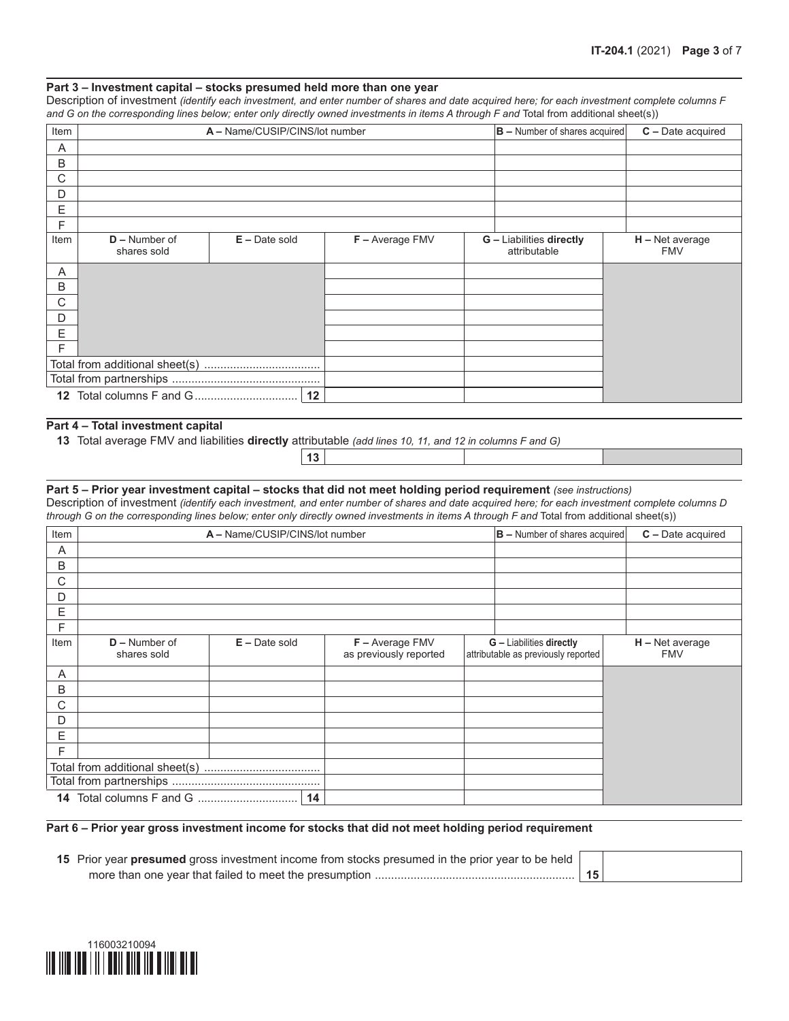#### **Part 3 – Investment capital – stocks presumed held more than one year**

Description of investment *(identify each investment, and enter number of shares and date acquired here; for each investment complete columns F*  and G on the corresponding lines below; enter only directly owned investments in items A through F and Total from additional sheet(s))

| Item |                                | A - Name/CUSIP/CINS/lot number |                 | $ B -$ Number of shares acquired                | $C$ – Date acquired             |
|------|--------------------------------|--------------------------------|-----------------|-------------------------------------------------|---------------------------------|
| A    |                                |                                |                 |                                                 |                                 |
| B    |                                |                                |                 |                                                 |                                 |
| С    |                                |                                |                 |                                                 |                                 |
| D    |                                |                                |                 |                                                 |                                 |
| E    |                                |                                |                 |                                                 |                                 |
| F    |                                |                                |                 |                                                 |                                 |
| Item | $D -$ Number of<br>shares sold | $E -$ Date sold                | F - Average FMV | <b>G</b> - Liabilities directly<br>attributable | $H - Net average$<br><b>FMV</b> |
| Α    |                                |                                |                 |                                                 |                                 |
| B    |                                |                                |                 |                                                 |                                 |
| С    |                                |                                |                 |                                                 |                                 |
| D    |                                |                                |                 |                                                 |                                 |
| Е    |                                |                                |                 |                                                 |                                 |
| F    |                                |                                |                 |                                                 |                                 |
|      |                                |                                |                 |                                                 |                                 |
|      |                                |                                |                 |                                                 |                                 |
|      |                                |                                |                 |                                                 |                                 |

### **Part 4 – Total investment capital**

**13**

**13** Total average FMV and liabilities **directly** attributable *(add lines 10, 11, and 12 in columns F and G)*

#### **Part 5 – Prior year investment capital – stocks that did not meet holding period requirement** *(see instructions)* Description of investment *(identify each investment, and enter number of shares and date acquired here; for each investment complete columns D through G on the corresponding lines below; enter only directly owned investments in items A through F and* Total from additional sheet(s))

| Item |                                |                 |    | A - Name/CUSIP/CINS/lot number              |  | $ B -$ Number of shares acquired                                |  | $C -$ Date acquired             |
|------|--------------------------------|-----------------|----|---------------------------------------------|--|-----------------------------------------------------------------|--|---------------------------------|
| A    |                                |                 |    |                                             |  |                                                                 |  |                                 |
| B    |                                |                 |    |                                             |  |                                                                 |  |                                 |
| C    |                                |                 |    |                                             |  |                                                                 |  |                                 |
| D    |                                |                 |    |                                             |  |                                                                 |  |                                 |
| E    |                                |                 |    |                                             |  |                                                                 |  |                                 |
| F    |                                |                 |    |                                             |  |                                                                 |  |                                 |
| Item | $D -$ Number of<br>shares sold | $E -$ Date sold |    | $F -$ Average FMV<br>as previously reported |  | G - Liabilities directly<br>attributable as previously reported |  | $H - Net average$<br><b>FMV</b> |
| Α    |                                |                 |    |                                             |  |                                                                 |  |                                 |
| B    |                                |                 |    |                                             |  |                                                                 |  |                                 |
| C    |                                |                 |    |                                             |  |                                                                 |  |                                 |
| D    |                                |                 |    |                                             |  |                                                                 |  |                                 |
| Е    |                                |                 |    |                                             |  |                                                                 |  |                                 |
| F    |                                |                 |    |                                             |  |                                                                 |  |                                 |
|      |                                |                 |    |                                             |  |                                                                 |  |                                 |
|      |                                |                 |    |                                             |  |                                                                 |  |                                 |
|      |                                |                 | 14 |                                             |  |                                                                 |  |                                 |

#### **Part 6 – Prior year gross investment income for stocks that did not meet holding period requirement**

| 15 Prior year presumed gross investment income from stocks presumed in the prior year to be held |  |
|--------------------------------------------------------------------------------------------------|--|
|                                                                                                  |  |

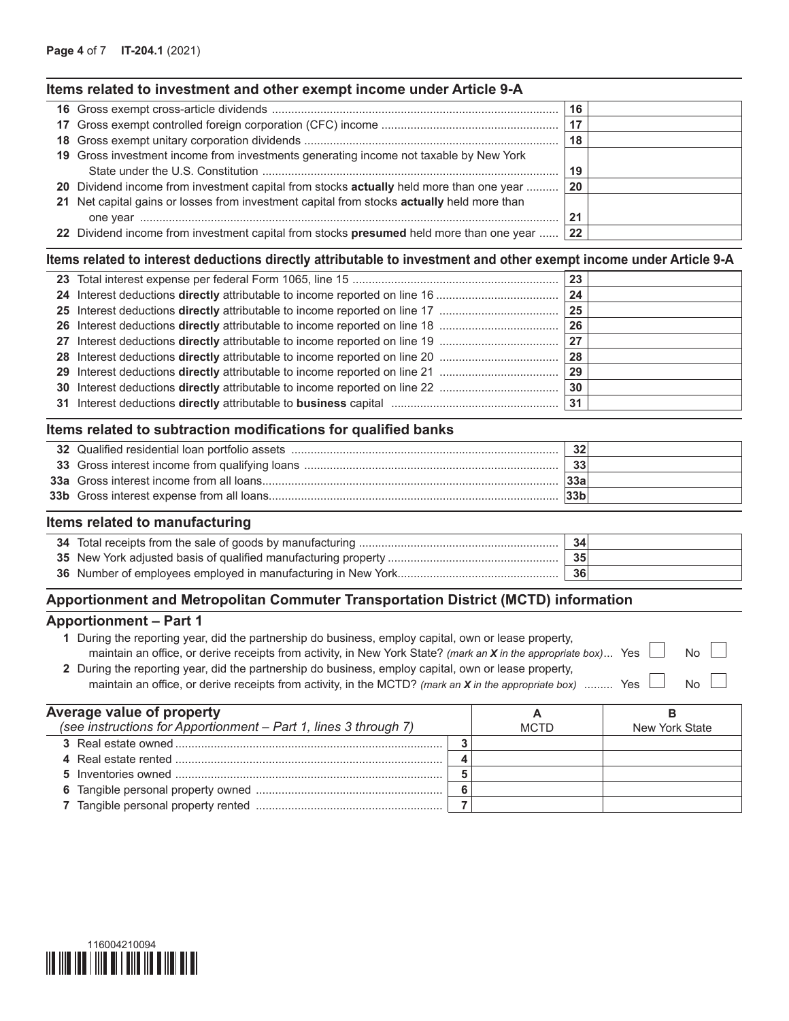# **Items related to investment and other exempt income under Article 9-A**

|                                                                                            | 16 |  |
|--------------------------------------------------------------------------------------------|----|--|
|                                                                                            | 17 |  |
|                                                                                            | 18 |  |
| 19 Gross investment income from investments generating income not taxable by New York      |    |  |
|                                                                                            | 19 |  |
| 20 Dividend income from investment capital from stocks actually held more than one year    | 20 |  |
| 21 Net capital gains or losses from investment capital from stocks actually held more than |    |  |
|                                                                                            |    |  |
| 22 Dividend income from investment capital from stocks presumed held more than one year    | 22 |  |

# **Items related to interest deductions directly attributable to investment and other exempt income under Article 9-A**

|  | 23 |  |
|--|----|--|
|  | 24 |  |
|  | 25 |  |
|  | 26 |  |
|  | 27 |  |
|  | 28 |  |
|  | 29 |  |
|  | 30 |  |
|  |    |  |

# **Items related to subtraction modifications for qualified banks**

|  | 32  |  |
|--|-----|--|
|  | 33  |  |
|  | 33a |  |
|  | 33h |  |

### **Items related to manufacturing**

|                                                                | 34 |  |
|----------------------------------------------------------------|----|--|
| 35 New York adjusted basis of qualified manufacturing property | 35 |  |
| 36 Number of employees employed in manufacturing in New York   | 36 |  |

# **Apportionment and Metropolitan Commuter Transportation District (MCTD) information**

### **Apportionment – Part 1**

| During the reporting year, did the partnership do business, employ capital, own or lease property,                            |                |
|-------------------------------------------------------------------------------------------------------------------------------|----------------|
| maintain an office, or derive receipts from activity, in New York State? (mark an <b>X</b> in the appropriate box) Yes $\Box$ | No II          |
| 2 During the reporting year, did the partnership do business, employ capital, own or lease property,                          |                |
| Yes $\vdash$<br>maintain an office, or derive receipts from activity, in the MCTD? (mark an X in the appropriate box)         | N <sub>0</sub> |

| Average value of property                                        |  | A           |                |
|------------------------------------------------------------------|--|-------------|----------------|
| (see instructions for Apportionment - Part 1, lines 3 through 7) |  | <b>MCTD</b> | New York State |
|                                                                  |  |             |                |
|                                                                  |  |             |                |
|                                                                  |  |             |                |
|                                                                  |  |             |                |
|                                                                  |  |             |                |

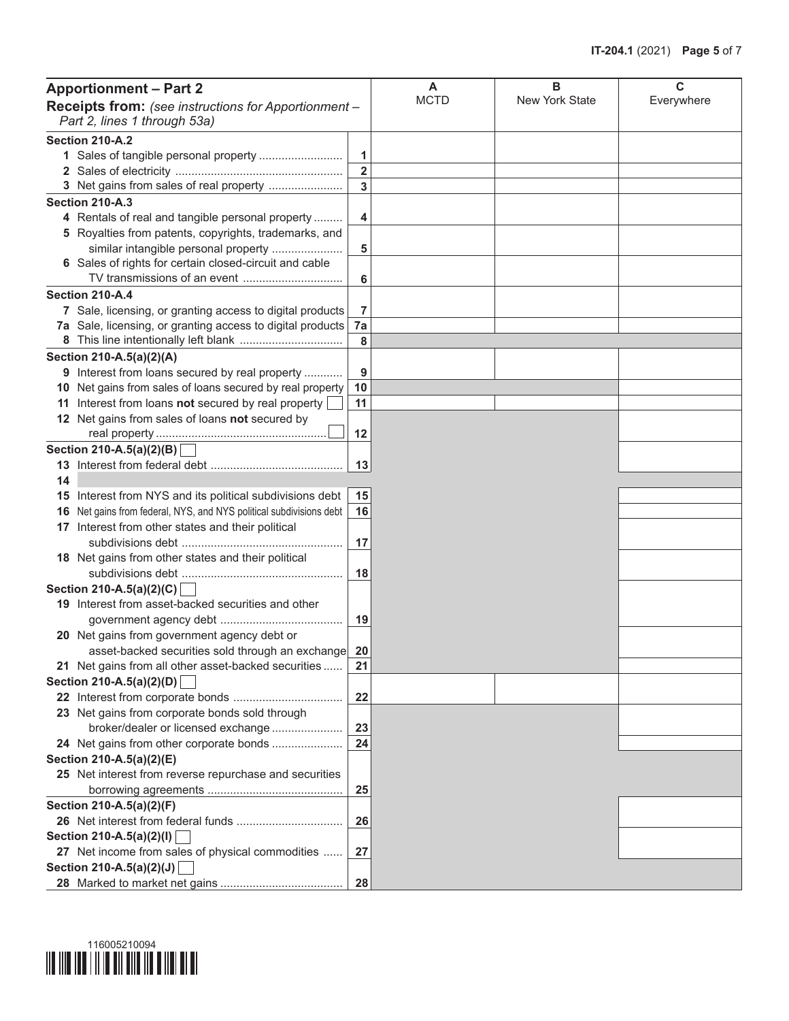|                                                                                      | <b>Apportionment - Part 2</b>                                       |                         | A           | в              | C          |
|--------------------------------------------------------------------------------------|---------------------------------------------------------------------|-------------------------|-------------|----------------|------------|
| Receipts from: (see instructions for Apportionment -<br>Part 2, lines 1 through 53a) |                                                                     |                         | <b>MCTD</b> | New York State | Everywhere |
|                                                                                      | <b>Section 210-A.2</b>                                              |                         |             |                |            |
|                                                                                      | 1 Sales of tangible personal property                               | 1                       |             |                |            |
|                                                                                      |                                                                     | $\overline{\mathbf{2}}$ |             |                |            |
|                                                                                      | 3 Net gains from sales of real property                             | $\overline{3}$          |             |                |            |
|                                                                                      | Section 210-A.3                                                     |                         |             |                |            |
|                                                                                      | 4 Rentals of real and tangible personal property                    | 4                       |             |                |            |
|                                                                                      | 5 Royalties from patents, copyrights, trademarks, and               |                         |             |                |            |
|                                                                                      | similar intangible personal property                                | 5                       |             |                |            |
|                                                                                      | 6 Sales of rights for certain closed-circuit and cable              |                         |             |                |            |
|                                                                                      |                                                                     | 6                       |             |                |            |
|                                                                                      | Section 210-A.4                                                     |                         |             |                |            |
|                                                                                      | 7 Sale, licensing, or granting access to digital products           | 7                       |             |                |            |
|                                                                                      | 7a Sale, licensing, or granting access to digital products   7a     |                         |             |                |            |
|                                                                                      |                                                                     | 8                       |             |                |            |
|                                                                                      | Section 210-A.5(a)(2)(A)                                            |                         |             |                |            |
|                                                                                      | 9 Interest from loans secured by real property                      | 9                       |             |                |            |
|                                                                                      | 10 Net gains from sales of loans secured by real property           | 10                      |             |                |            |
|                                                                                      | 11 Interest from loans not secured by real property                 | 11                      |             |                |            |
|                                                                                      | 12 Net gains from sales of loans not secured by                     |                         |             |                |            |
|                                                                                      |                                                                     | 12                      |             |                |            |
|                                                                                      | Section 210-A.5(a)(2)(B)                                            |                         |             |                |            |
|                                                                                      |                                                                     | 13                      |             |                |            |
| 14                                                                                   |                                                                     |                         |             |                |            |
|                                                                                      | 15 Interest from NYS and its political subdivisions debt            | 15                      |             |                |            |
|                                                                                      | 16 Net gains from federal, NYS, and NYS political subdivisions debt | 16                      |             |                |            |
|                                                                                      | 17 Interest from other states and their political                   |                         |             |                |            |
|                                                                                      |                                                                     | 17                      |             |                |            |
|                                                                                      | 18 Net gains from other states and their political                  |                         |             |                |            |
|                                                                                      |                                                                     | 18                      |             |                |            |
|                                                                                      | Section 210-A.5(a)(2)(C)                                            |                         |             |                |            |
|                                                                                      | 19 Interest from asset-backed securities and other                  |                         |             |                |            |
|                                                                                      |                                                                     | 19                      |             |                |            |
|                                                                                      | 20 Net gains from government agency debt or                         |                         |             |                |            |
|                                                                                      | asset-backed securities sold through an exchange 20                 |                         |             |                |            |
|                                                                                      | 21 Net gains from all other asset-backed securities                 | 21                      |             |                |            |
|                                                                                      | Section 210-A.5(a)(2)(D)                                            |                         |             |                |            |
|                                                                                      |                                                                     | 22                      |             |                |            |
|                                                                                      | 23 Net gains from corporate bonds sold through                      |                         |             |                |            |
|                                                                                      | broker/dealer or licensed exchange                                  | 23                      |             |                |            |
|                                                                                      | 24 Net gains from other corporate bonds                             | 24                      |             |                |            |
|                                                                                      | Section 210-A.5(a)(2)(E)                                            |                         |             |                |            |
|                                                                                      | 25 Net interest from reverse repurchase and securities              |                         |             |                |            |
|                                                                                      |                                                                     | 25                      |             |                |            |
|                                                                                      | Section 210-A.5(a)(2)(F)                                            |                         |             |                |            |
|                                                                                      |                                                                     | 26                      |             |                |            |
|                                                                                      | Section 210-A.5(a)(2)(l)                                            |                         |             |                |            |
|                                                                                      | 27 Net income from sales of physical commodities                    | 27                      |             |                |            |
|                                                                                      | Section 210-A.5(a)(2)(J)                                            |                         |             |                |            |
|                                                                                      |                                                                     | 28                      |             |                |            |

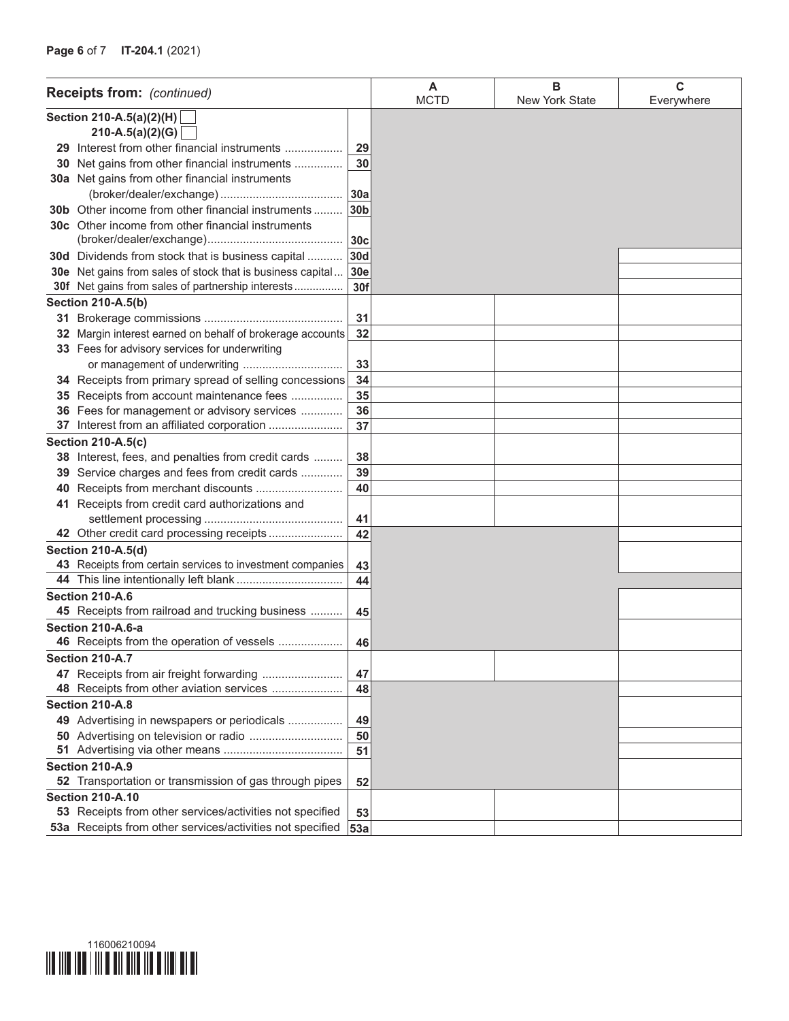|                          | <b>Receipts from:</b> (continued)                             |                 | A<br><b>MCTD</b> | в<br>New York State | C<br>Everywhere |
|--------------------------|---------------------------------------------------------------|-----------------|------------------|---------------------|-----------------|
| Section 210-A.5(a)(2)(H) |                                                               |                 |                  |                     |                 |
|                          | $210-A.5(a)(2)(G)$                                            |                 |                  |                     |                 |
|                          | 29 Interest from other financial instruments                  | 29              |                  |                     |                 |
|                          | 30 Net gains from other financial instruments                 | 30              |                  |                     |                 |
|                          | 30a Net gains from other financial instruments                |                 |                  |                     |                 |
|                          |                                                               | 30a             |                  |                     |                 |
|                          | <b>30b</b> Other income from other financial instruments      | 30 <sub>b</sub> |                  |                     |                 |
|                          | 30c Other income from other financial instruments             |                 |                  |                     |                 |
|                          |                                                               | 30 <sub>c</sub> |                  |                     |                 |
|                          | <b>30d</b> Dividends from stock that is business capital      | 30d             |                  |                     |                 |
|                          | 30e Net gains from sales of stock that is business capital    | 30e             |                  |                     |                 |
|                          | 30f Net gains from sales of partnership interests             | 30f             |                  |                     |                 |
|                          | <b>Section 210-A.5(b)</b>                                     |                 |                  |                     |                 |
|                          |                                                               | 31              |                  |                     |                 |
|                          | 32 Margin interest earned on behalf of brokerage accounts     | 32              |                  |                     |                 |
|                          | 33 Fees for advisory services for underwriting                |                 |                  |                     |                 |
|                          |                                                               | 33              |                  |                     |                 |
|                          | 34 Receipts from primary spread of selling concessions        | 34              |                  |                     |                 |
|                          | 35 Receipts from account maintenance fees                     | 35              |                  |                     |                 |
|                          | 36 Fees for management or advisory services                   | 36              |                  |                     |                 |
|                          | 37 Interest from an affiliated corporation                    | 37              |                  |                     |                 |
|                          | <b>Section 210-A.5(c)</b>                                     |                 |                  |                     |                 |
|                          | 38 Interest, fees, and penalties from credit cards            | 38              |                  |                     |                 |
|                          | 39 Service charges and fees from credit cards                 | 39              |                  |                     |                 |
|                          | 40 Receipts from merchant discounts                           | 40              |                  |                     |                 |
|                          | 41 Receipts from credit card authorizations and               | 41              |                  |                     |                 |
|                          | 42 Other credit card processing receipts                      | 42              |                  |                     |                 |
|                          | Section 210-A.5(d)                                            |                 |                  |                     |                 |
|                          | 43 Receipts from certain services to investment companies     | 43              |                  |                     |                 |
|                          |                                                               | 44              |                  |                     |                 |
|                          | Section 210-A.6                                               |                 |                  |                     |                 |
|                          | 45 Receipts from railroad and trucking business               | 45              |                  |                     |                 |
|                          | Section 210-A.6-a                                             |                 |                  |                     |                 |
|                          | 46 Receipts from the operation of vessels                     | 46              |                  |                     |                 |
|                          | <b>Section 210-A.7</b>                                        |                 |                  |                     |                 |
|                          | 47 Receipts from air freight forwarding                       | 47              |                  |                     |                 |
|                          | 48 Receipts from other aviation services                      | 48              |                  |                     |                 |
|                          | Section 210-A.8                                               |                 |                  |                     |                 |
|                          | 49 Advertising in newspapers or periodicals                   | 49              |                  |                     |                 |
|                          |                                                               | 50              |                  |                     |                 |
|                          |                                                               | 51              |                  |                     |                 |
|                          | Section 210-A.9                                               |                 |                  |                     |                 |
|                          | <b>52</b> Transportation or transmission of gas through pipes | 52              |                  |                     |                 |
|                          | <b>Section 210-A.10</b>                                       |                 |                  |                     |                 |
|                          | 53 Receipts from other services/activities not specified      | 53              |                  |                     |                 |
|                          | 53a Receipts from other services/activities not specified     | 53a             |                  |                     |                 |